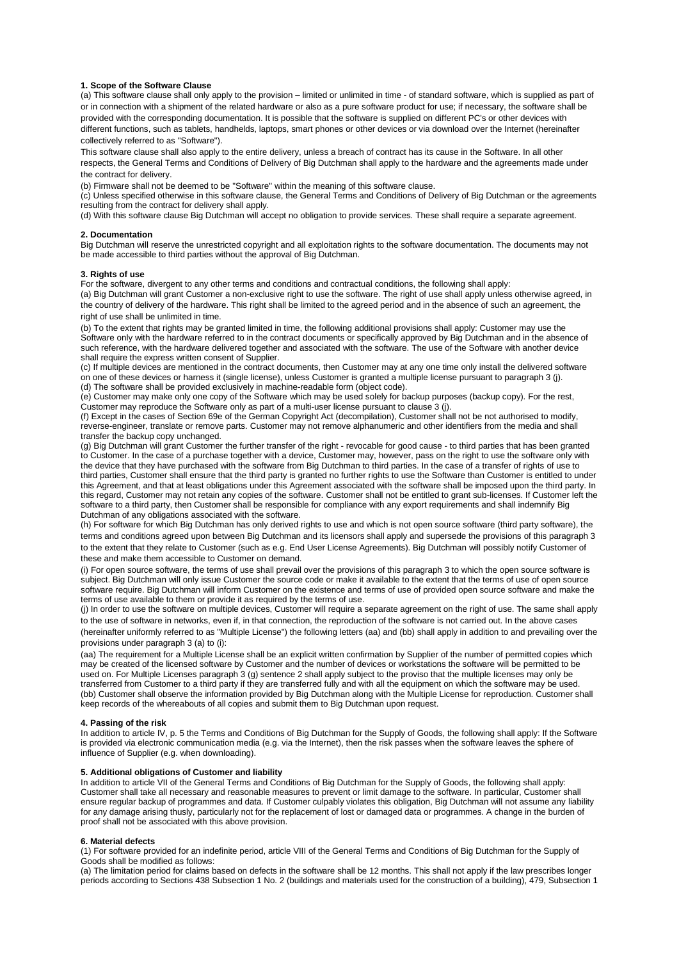## **1. Scope of the Software Clause**

(a) This software clause shall only apply to the provision – limited or unlimited in time - of standard software, which is supplied as part of or in connection with a shipment of the related hardware or also as a pure software product for use; if necessary, the software shall be provided with the corresponding documentation. It is possible that the software is supplied on different PC's or other devices with different functions, such as tablets, handhelds, laptops, smart phones or other devices or via download over the Internet (hereinafter collectively referred to as "Software").

This software clause shall also apply to the entire delivery, unless a breach of contract has its cause in the Software. In all other respects, the General Terms and Conditions of Delivery of Big Dutchman shall apply to the hardware and the agreements made under the contract for delivery.

(b) Firmware shall not be deemed to be "Software" within the meaning of this software clause.

(c) Unless specified otherwise in this software clause, the General Terms and Conditions of Delivery of Big Dutchman or the agreements resulting from the contract for delivery shall apply.

(d) With this software clause Big Dutchman will accept no obligation to provide services. These shall require a separate agreement.

## **2. Documentation**

Big Dutchman will reserve the unrestricted copyright and all exploitation rights to the software documentation. The documents may not be made accessible to third parties without the approval of Big Dutchman.

#### **3. Rights of use**

For the software, divergent to any other terms and conditions and contractual conditions, the following shall apply:

(a) Big Dutchman will grant Customer a non-exclusive right to use the software. The right of use shall apply unless otherwise agreed, in the country of delivery of the hardware. This right shall be limited to the agreed period and in the absence of such an agreement, the right of use shall be unlimited in time.

(b) To the extent that rights may be granted limited in time, the following additional provisions shall apply: Customer may use the Software only with the hardware referred to in the contract documents or specifically approved by Big Dutchman and in the absence of such reference, with the hardware delivered together and associated with the software. The use of the Software with another device shall require the express written consent of Supplier.

(c) If multiple devices are mentioned in the contract documents, then Customer may at any one time only install the delivered software on one of these devices or harness it (single license), unless Customer is granted a multiple license pursuant to paragraph 3 (j). (d) The software shall be provided exclusively in machine-readable form (object code).

(e) Customer may make only one copy of the Software which may be used solely for backup purposes (backup copy). For the rest, Customer may reproduce the Software only as part of a multi-user license pursuant to clause 3 (j).

(f) Except in the cases of Section 69e of the German Copyright Act (decompilation), Customer shall not be not authorised to modify, reverse-engineer, translate or remove parts. Customer may not remove alphanumeric and other identifiers from the media and shall transfer the backup copy unchanged.

(g) Big Dutchman will grant Customer the further transfer of the right - revocable for good cause - to third parties that has been granted to Customer. In the case of a purchase together with a device, Customer may, however, pass on the right to use the software only with the device that they have purchased with the software from Big Dutchman to third parties. In the case of a transfer of rights of use to third parties, Customer shall ensure that the third party is granted no further rights to use the Software than Customer is entitled to under this Agreement, and that at least obligations under this Agreement associated with the software shall be imposed upon the third party. In this regard, Customer may not retain any copies of the software. Customer shall not be entitled to grant sub-licenses. If Customer left the software to a third party, then Customer shall be responsible for compliance with any export requirements and shall indemnify Big Dutchman of any obligations associated with the software.

(h) For software for which Big Dutchman has only derived rights to use and which is not open source software (third party software), the terms and conditions agreed upon between Big Dutchman and its licensors shall apply and supersede the provisions of this paragraph 3 to the extent that they relate to Customer (such as e.g. End User License Agreements). Big Dutchman will possibly notify Customer of these and make them accessible to Customer on demand.

(i) For open source software, the terms of use shall prevail over the provisions of this paragraph 3 to which the open source software is subject. Big Dutchman will only issue Customer the source code or make it available to the extent that the terms of use of open source software require. Big Dutchman will inform Customer on the existence and terms of use of provided open source software and make the terms of use available to them or provide it as required by the terms of use.

(j) In order to use the software on multiple devices, Customer will require a separate agreement on the right of use. The same shall apply to the use of software in networks, even if, in that connection, the reproduction of the software is not carried out. In the above cases (hereinafter uniformly referred to as "Multiple License") the following letters (aa) and (bb) shall apply in addition to and prevailing over the

# provisions under paragraph 3 (a) to (i):

(aa) The requirement for a Multiple License shall be an explicit written confirmation by Supplier of the number of permitted copies which may be created of the licensed software by Customer and the number of devices or workstations the software will be permitted to be used on. For Multiple Licenses paragraph 3 (g) sentence 2 shall apply subject to the proviso that the multiple licenses may only be transferred from Customer to a third party if they are transferred fully and with all the equipment on which the software may be used. (bb) Customer shall observe the information provided by Big Dutchman along with the Multiple License for reproduction. Customer shall keep records of the whereabouts of all copies and submit them to Big Dutchman upon request.

#### **4. Passing of the risk**

In addition to article IV, p. 5 the Terms and Conditions of Big Dutchman for the Supply of Goods, the following shall apply: If the Software is provided via electronic communication media (e.g. via the Internet), then the risk passes when the software leaves the sphere of influence of Supplier (e.g. when downloading).

## **5. Additional obligations of Customer and liability**

In addition to article VII of the General Terms and Conditions of Big Dutchman for the Supply of Goods, the following shall apply: Customer shall take all necessary and reasonable measures to prevent or limit damage to the software. In particular, Customer shall ensure regular backup of programmes and data. If Customer culpably violates this obligation, Big Dutchman will not assume any liability for any damage arising thusly, particularly not for the replacement of lost or damaged data or programmes. A change in the burden of proof shall not be associated with this above provision.

## **6. Material defects**

(1) For software provided for an indefinite period, article VIII of the General Terms and Conditions of Big Dutchman for the Supply of Goods shall be modified as follows:

(a) The limitation period for claims based on defects in the software shall be 12 months. This shall not apply if the law prescribes longer periods according to Sections 438 Subsection 1 No. 2 (buildings and materials used for the construction of a building), 479, Subsection 1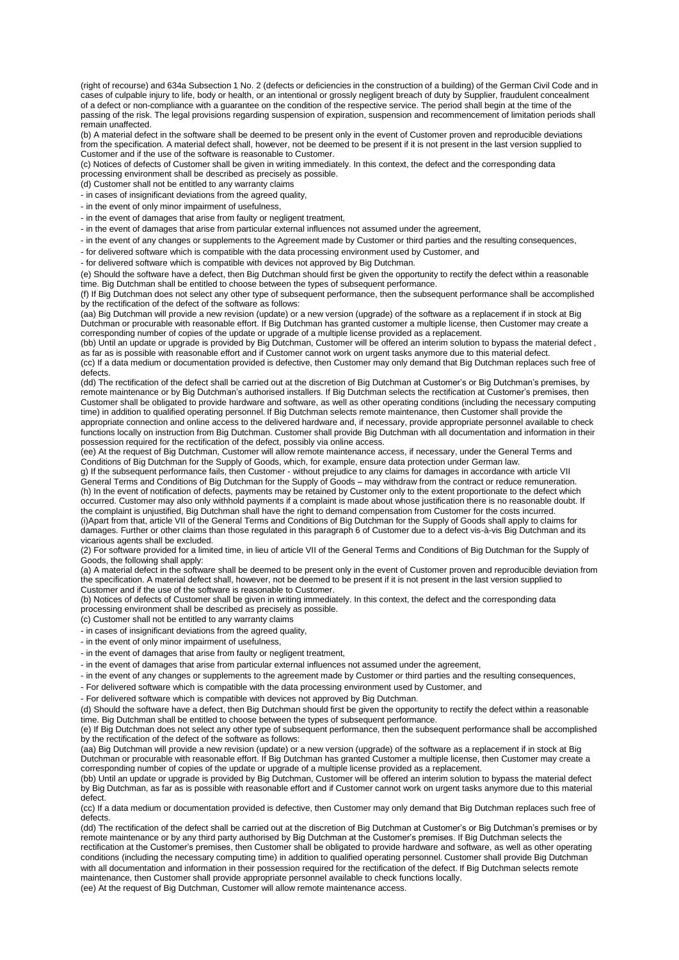(right of recourse) and 634a Subsection 1 No. 2 (defects or deficiencies in the construction of a building) of the German Civil Code and in cases of culpable injury to life, body or health, or an intentional or grossly negligent breach of duty by Supplier, fraudulent concealment of a defect or non-compliance with a guarantee on the condition of the respective service. The period shall begin at the time of the passing of the risk. The legal provisions regarding suspension of expiration, suspension and recommencement of limitation periods shall remain unaffected.

(b) A material defect in the software shall be deemed to be present only in the event of Customer proven and reproducible deviations from the specification. A material defect shall, however, not be deemed to be present if it is not present in the last version supplied to Customer and if the use of the software is reasonable to Customer.

(c) Notices of defects of Customer shall be given in writing immediately. In this context, the defect and the corresponding data processing environment shall be described as precisely as possible.

(d) Customer shall not be entitled to any warranty claims

- in cases of insignificant deviations from the agreed quality,

- in the event of only minor impairment of usefulness,

- in the event of damages that arise from faulty or negligent treatment,

- in the event of damages that arise from particular external influences not assumed under the agreement,

- in the event of any changes or supplements to the Agreement made by Customer or third parties and the resulting consequences,

- for delivered software which is compatible with the data processing environment used by Customer, and

- for delivered software which is compatible with devices not approved by Big Dutchman.

(e) Should the software have a defect, then Big Dutchman should first be given the opportunity to rectify the defect within a reasonable time. Big Dutchman shall be entitled to choose between the types of subsequent performance.

(f) If Big Dutchman does not select any other type of subsequent performance, then the subsequent performance shall be accomplished by the rectification of the defect of the software as follows:

(aa) Big Dutchman will provide a new revision (update) or a new version (upgrade) of the software as a replacement if in stock at Big Dutchman or procurable with reasonable effort. If Big Dutchman has granted customer a multiple license, then Customer may create a corresponding number of copies of the update or upgrade of a multiple license provided as a replacement.

(bb) Until an update or upgrade is provided by Big Dutchman, Customer will be offered an interim solution to bypass the material defect , as far as is possible with reasonable effort and if Customer cannot work on urgent tasks anymore due to this material defect.

(cc) If a data medium or documentation provided is defective, then Customer may only demand that Big Dutchman replaces such free of defects.

(dd) The rectification of the defect shall be carried out at the discretion of Big Dutchman at Customer's or Big Dutchman's premises, by remote maintenance or by Big Dutchman's authorised installers. If Big Dutchman selects the rectification at Customer's premises, then Customer shall be obligated to provide hardware and software, as well as other operating conditions (including the necessary computing time) in addition to qualified operating personnel. If Big Dutchman selects remote maintenance, then Customer shall provide the appropriate connection and online access to the delivered hardware and, if necessary, provide appropriate personnel available to check functions locally on instruction from Big Dutchman. Customer shall provide Big Dutchman with all documentation and information in their possession required for the rectification of the defect, possibly via online access.

(ee) At the request of Big Dutchman, Customer will allow remote maintenance access, if necessary, under the General Terms and Conditions of Big Dutchman for the Supply of Goods, which, for example, ensure data protection under German law.

g) If the subsequent performance fails, then Customer - without prejudice to any claims for damages in accordance with article VII General Terms and Conditions of Big Dutchman for the Supply of Goods – may withdraw from the contract or reduce remuneration. (h) In the event of notification of defects, payments may be retained by Customer only to the extent proportionate to the defect which occurred. Customer may also only withhold payments if a complaint is made about whose justification there is no reasonable doubt. If the complaint is unjustified, Big Dutchman shall have the right to demand compensation from Customer for the costs incurred. (i)Apart from that, article VII of the General Terms and Conditions of Big Dutchman for the Supply of Goods shall apply to claims for damages. Further or other claims than those regulated in this paragraph 6 of Customer due to a defect vis-à-vis Big Dutchman and its vicarious agents shall be excluded.

(2) For software provided for a limited time, in lieu of article VII of the General Terms and Conditions of Big Dutchman for the Supply of Goods, the following shall apply:

(a) A material defect in the software shall be deemed to be present only in the event of Customer proven and reproducible deviation from the specification. A material defect shall, however, not be deemed to be present if it is not present in the last version supplied to Customer and if the use of the software is reasonable to Customer.

(b) Notices of defects of Customer shall be given in writing immediately. In this context, the defect and the corresponding data processing environment shall be described as precisely as possible.

(c) Customer shall not be entitled to any warranty claims

- in cases of insignificant deviations from the agreed quality,

- in the event of only minor impairment of usefulness,

- in the event of damages that arise from faulty or negligent treatment,

- in the event of damages that arise from particular external influences not assumed under the agreement,

- in the event of any changes or supplements to the agreement made by Customer or third parties and the resulting consequences,

- For delivered software which is compatible with the data processing environment used by Customer, and

- For delivered software which is compatible with devices not approved by Big Dutchman.

(d) Should the software have a defect, then Big Dutchman should first be given the opportunity to rectify the defect within a reasonable time. Big Dutchman shall be entitled to choose between the types of subsequent performance.

(e) If Big Dutchman does not select any other type of subsequent performance, then the subsequent performance shall be accomplished by the rectification of the defect of the software as follows:

(aa) Big Dutchman will provide a new revision (update) or a new version (upgrade) of the software as a replacement if in stock at Big Dutchman or procurable with reasonable effort. If Big Dutchman has granted Customer a multiple license, then Customer may create a corresponding number of copies of the update or upgrade of a multiple license provided as a replacement.

(bb) Until an update or upgrade is provided by Big Dutchman, Customer will be offered an interim solution to bypass the material defect by Big Dutchman, as far as is possible with reasonable effort and if Customer cannot work on urgent tasks anymore due to this material defect.

(cc) If a data medium or documentation provided is defective, then Customer may only demand that Big Dutchman replaces such free of defects.

(dd) The rectification of the defect shall be carried out at the discretion of Big Dutchman at Customer's or Big Dutchman's premises or by remote maintenance or by any third party authorised by Big Dutchman at the Customer's premises. If Big Dutchman selects the rectification at the Customer's premises, then Customer shall be obligated to provide hardware and software, as well as other operating conditions (including the necessary computing time) in addition to qualified operating personnel. Customer shall provide Big Dutchman with all documentation and information in their possession required for the rectification of the defect. If Big Dutchman selects remote maintenance, then Customer shall provide appropriate personnel available to check functions locally.

(ee) At the request of Big Dutchman, Customer will allow remote maintenance access.